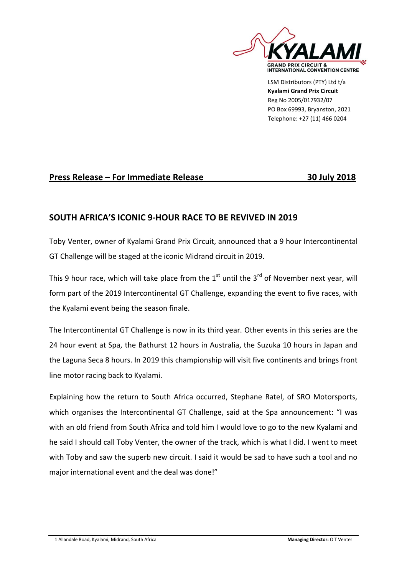

LSM Distributors (PTY) Ltd t/a **Kyalami Grand Prix Circuit** Reg No 2005/017932/07 PO Box 69993, Bryanston, 2021 Telephone: +27 (11) 466 0204

## **Press Release – For Immediate Release 30 July 2018**

## **SOUTH AFRICA'S ICONIC 9-HOUR RACE TO BE REVIVED IN 2019**

Toby Venter, owner of Kyalami Grand Prix Circuit, announced that a 9 hour Intercontinental GT Challenge will be staged at the iconic Midrand circuit in 2019.

This 9 hour race, which will take place from the  $1<sup>st</sup>$  until the 3<sup>rd</sup> of November next year, will form part of the 2019 Intercontinental GT Challenge, expanding the event to five races, with the Kyalami event being the season finale.

The Intercontinental GT Challenge is now in its third year. Other events in this series are the 24 hour event at Spa, the Bathurst 12 hours in Australia, the Suzuka 10 hours in Japan and the Laguna Seca 8 hours. In 2019 this championship will visit five continents and brings front line motor racing back to Kyalami.

Explaining how the return to South Africa occurred, Stephane Ratel, of SRO Motorsports, which organises the Intercontinental GT Challenge, said at the Spa announcement: "I was with an old friend from South Africa and told him I would love to go to the new Kyalami and he said I should call Toby Venter, the owner of the track, which is what I did. I went to meet with Toby and saw the superb new circuit. I said it would be sad to have such a tool and no major international event and the deal was done!"